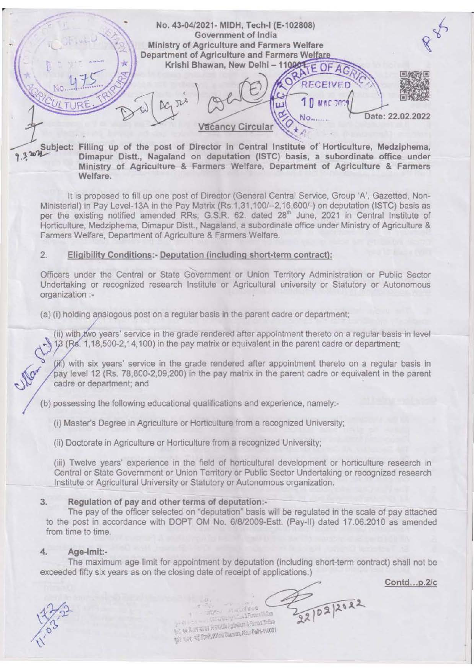

Filling up of the post of Director in Central Institute of Horticulture, Medziphema, Oimapur Distt., Nagaland on deputation (ISTC) basis, a subordinate office under Ministry of Agriculture & Farmers Welfare, Department of Agriculture & Farmers Welfare.

It is proposed to fill up one post of Director (General Central Service, Group 'A', Gazetted, Non-Ministerial) in Pay Level-13A in the Pay Matrix (Rs.1,31,100/--2,16,600/-) on deputation (ISTC) basis as per the existing notified amended RRs, G.S.R. 62. dated 28<sup>th</sup> June, 2021 in Central Institute of Horticulture, Medziphema, Dimapur Distt., Nagaland, a subordinate office under Ministry of Agriculture & Farmers Welfare, Department of Agriculture & Farmers Welfare.

## 2. Eligibility Conditions;· Deputation (including short-term contract):

Officers under the Central or State Government or Union Territory Administration or Public Sector Undertaking or recognized research Institute or Agricultural university or Statutory or Autonomous organization :-

(a) (i) holding analogous post on a regular basis In the parent cadre or department;

(ii) with *t*wo years' service in the grade rendered after appointment thereto on a regular basis in level  $$13$  (Rs. 1,18,500-2,14,100) in the pay matrix or equivalent in the parent cadre or department;

(iii) with six years' service in the grade rendered after appointment thereto on a regular basis in pay level 12 (Rs. 78,800-2,09,200) in the pay matrix in the parent cadre or equivalent in the parent cadre or department; and

(b) possessing the following educational qualifications and experience. namely:-

(i) Master's Degree in Agriculture or Horticulture from a recognized University;

(ii) Doctorate in Agriculture or Horticulture from a recognized University;

(iii) Twelve years' experience in the field of horticultural development or horticulture research in Central or State Government or Union Temtory or Public Sector Undertaking or recognized research Institute or Agricultural University or Statutory or Autonomous organization.

## 3. Regulation of pay and other terms of deputation:·

The pay of the officer selected on "deputation" basis will be regulated in the scale of pay attached to the post in accordance with DOPT OM No. 6/8/2009-Estt. (Pay-11) dated 17.06.2010 as amended from time to time.

## 4. Age-lmit:-

The maximum age limit for appointment by deputation {including short-term contract) shall not be exceeded fifty six years as on the closing date of receipt of applications.)

Contd...p.2/c

an an ail air an<br>An air <u>an a</u>ir an Aona Mhàin<br>An air an air an air air a Ed Rent Second Health Spinsters & Famous Works the Real State County of Real Principles of the Second State Prince (1980)<br>Real Principles and Principles County of District District District District District On District District On<br>Real Principles of Principles and Pri

22/02/2122